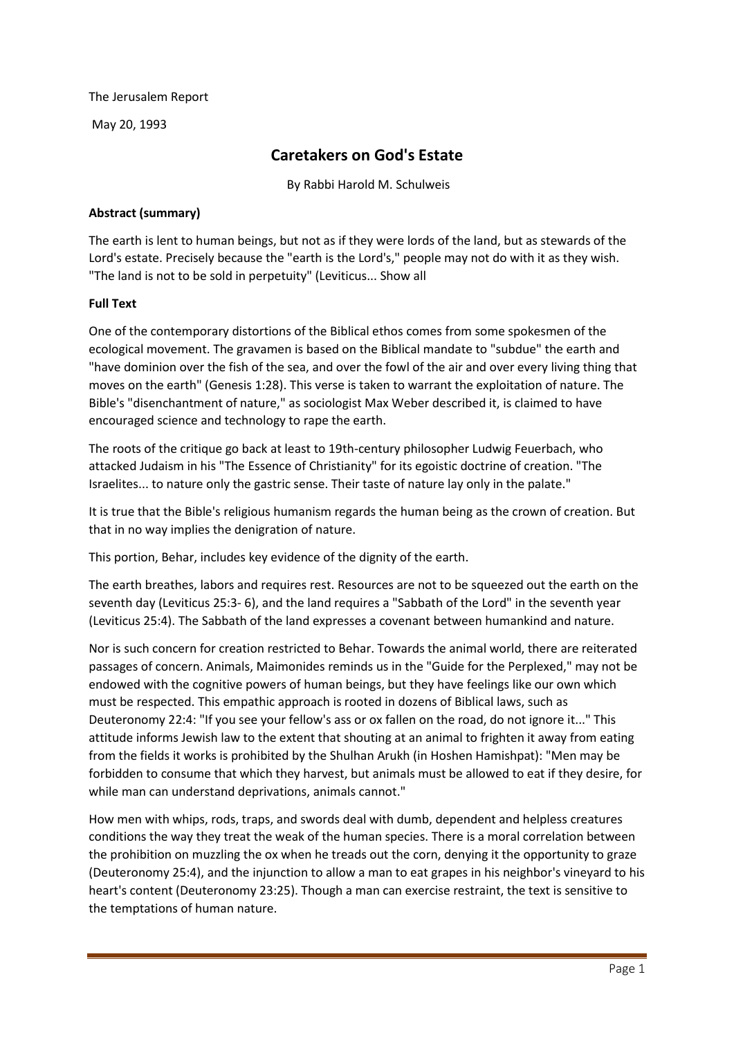The Jerusalem Report

May 20, 1993

## **Caretakers on God's Estate**

By Rabbi Harold M. Schulweis

## **Abstract (summary)**

The earth is lent to human beings, but not as if they were lords of the land, but as stewards of the Lord's estate. Precisely because the "earth is the Lord's," people may not do with it as they wish. "The land is not to be sold in perpetuity" (Leviticus... Show all

## **Full Text**

One of the contemporary distortions of the Biblical ethos comes from some spokesmen of the ecological movement. The gravamen is based on the Biblical mandate to "subdue" the earth and "have dominion over the fish of the sea, and over the fowl of the air and over every living thing that moves on the earth" (Genesis 1:28). This verse is taken to warrant the exploitation of nature. The Bible's "disenchantment of nature," as sociologist Max Weber described it, is claimed to have encouraged science and technology to rape the earth.

The roots of the critique go back at least to 19th-century philosopher Ludwig Feuerbach, who attacked Judaism in his "The Essence of Christianity" for its egoistic doctrine of creation. "The Israelites... to nature only the gastric sense. Their taste of nature lay only in the palate."

It is true that the Bible's religious humanism regards the human being as the crown of creation. But that in no way implies the denigration of nature.

This portion, Behar, includes key evidence of the dignity of the earth.

The earth breathes, labors and requires rest. Resources are not to be squeezed out the earth on the seventh day (Leviticus 25:3- 6), and the land requires a "Sabbath of the Lord" in the seventh year (Leviticus 25:4). The Sabbath of the land expresses a covenant between humankind and nature.

Nor is such concern for creation restricted to Behar. Towards the animal world, there are reiterated passages of concern. Animals, Maimonides reminds us in the "Guide for the Perplexed," may not be endowed with the cognitive powers of human beings, but they have feelings like our own which must be respected. This empathic approach is rooted in dozens of Biblical laws, such as Deuteronomy 22:4: "If you see your fellow's ass or ox fallen on the road, do not ignore it..." This attitude informs Jewish law to the extent that shouting at an animal to frighten it away from eating from the fields it works is prohibited by the Shulhan Arukh (in Hoshen Hamishpat): "Men may be forbidden to consume that which they harvest, but animals must be allowed to eat if they desire, for while man can understand deprivations, animals cannot."

How men with whips, rods, traps, and swords deal with dumb, dependent and helpless creatures conditions the way they treat the weak of the human species. There is a moral correlation between the prohibition on muzzling the ox when he treads out the corn, denying it the opportunity to graze (Deuteronomy 25:4), and the injunction to allow a man to eat grapes in his neighbor's vineyard to his heart's content (Deuteronomy 23:25). Though a man can exercise restraint, the text is sensitive to the temptations of human nature.